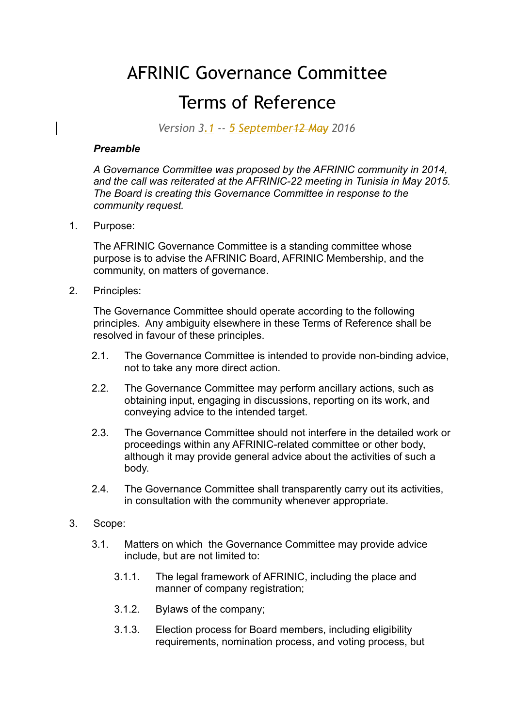## AFRINIC Governance Committee Terms of Reference

*Version 3.1 -- 5 September12 May 2016*

## *Preamble*

*A Governance Committee was proposed by the AFRINIC community in 2014, and the call was reiterated at the AFRINIC-22 meeting in Tunisia in May 2015. The Board is creating this Governance Committee in response to the community request.*

1. Purpose:

The AFRINIC Governance Committee is a standing committee whose purpose is to advise the AFRINIC Board, AFRINIC Membership, and the community, on matters of governance.

2. Principles:

The Governance Committee should operate according to the following principles. Any ambiguity elsewhere in these Terms of Reference shall be resolved in favour of these principles.

- 2.1. The Governance Committee is intended to provide non-binding advice, not to take any more direct action.
- 2.2. The Governance Committee may perform ancillary actions, such as obtaining input, engaging in discussions, reporting on its work, and conveying advice to the intended target.
- 2.3. The Governance Committee should not interfere in the detailed work or proceedings within any AFRINIC-related committee or other body, although it may provide general advice about the activities of such a body.
- 2.4. The Governance Committee shall transparently carry out its activities, in consultation with the community whenever appropriate.
- 3. Scope:
	- 3.1. Matters on which the Governance Committee may provide advice include, but are not limited to:
		- 3.1.1. The legal framework of AFRINIC, including the place and manner of company registration;
		- 3.1.2. Bylaws of the company;
		- 3.1.3. Election process for Board members, including eligibility requirements, nomination process, and voting process, but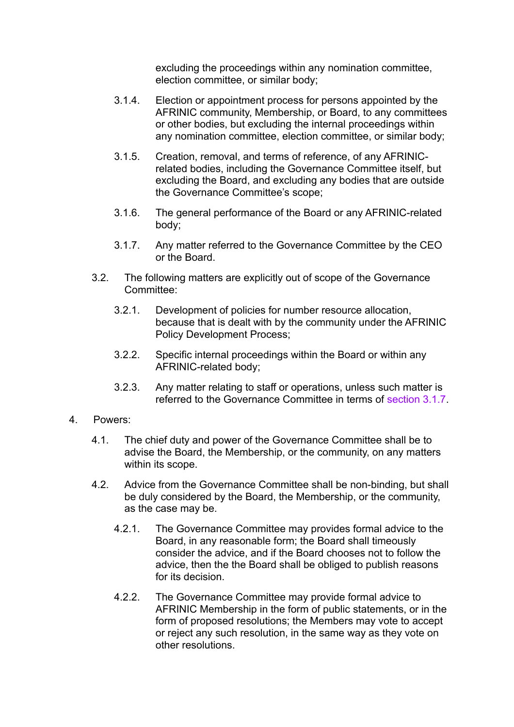excluding the proceedings within any nomination committee, election committee, or similar body;

- 3.1.4. Election or appointment process for persons appointed by the AFRINIC community, Membership, or Board, to any committees or other bodies, but excluding the internal proceedings within any nomination committee, election committee, or similar body;
- 3.1.5. Creation, removal, and terms of reference, of any AFRINICrelated bodies, including the Governance Committee itself, but excluding the Board, and excluding any bodies that are outside the Governance Committee's scope;
- 3.1.6. The general performance of the Board or any AFRINIC-related body;
- 3.1.7. Any matter referred to the Governance Committee by the CEO or the Board.
- 3.2. The following matters are explicitly out of scope of the Governance Committee:
	- 3.2.1. Development of policies for number resource allocation, because that is dealt with by the community under the AFRINIC Policy Development Process;
	- 3.2.2. Specific internal proceedings within the Board or within any AFRINIC-related body;
	- 3.2.3. Any matter relating to staff or operations, unless such matter is referred to the Governance Committee in terms of section 3.1.7.
- 4. Powers:
	- 4.1. The chief duty and power of the Governance Committee shall be to advise the Board, the Membership, or the community, on any matters within its scope.
	- 4.2. Advice from the Governance Committee shall be non-binding, but shall be duly considered by the Board, the Membership, or the community, as the case may be.
		- 4.2.1. The Governance Committee may provides formal advice to the Board, in any reasonable form; the Board shall timeously consider the advice, and if the Board chooses not to follow the advice, then the the Board shall be obliged to publish reasons for its decision
		- 4.2.2. The Governance Committee may provide formal advice to AFRINIC Membership in the form of public statements, or in the form of proposed resolutions; the Members may vote to accept or reject any such resolution, in the same way as they vote on other resolutions.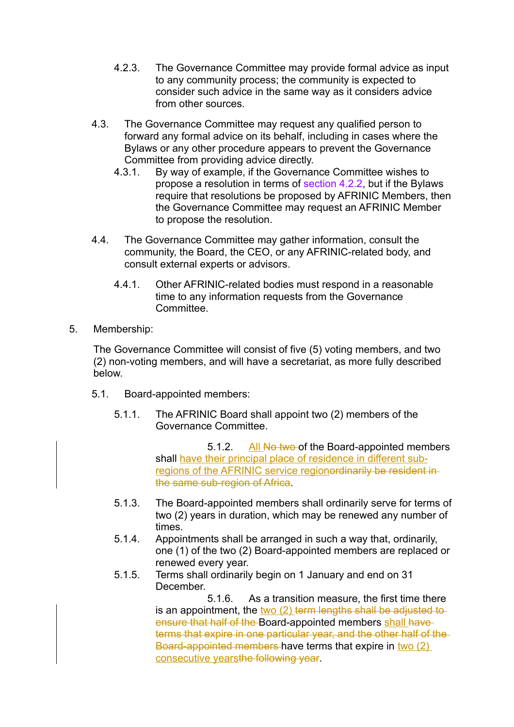- 4.2.3. The Governance Committee may provide formal advice as input to any community process; the community is expected to consider such advice in the same way as it considers advice from other sources.
- 4.3. The Governance Committee may request any qualified person to forward any formal advice on its behalf, including in cases where the Bylaws or any other procedure appears to prevent the Governance Committee from providing advice directly.
	- 4.3.1. By way of example, if the Governance Committee wishes to propose a resolution in terms of section 4.2.2, but if the Bylaws require that resolutions be proposed by AFRINIC Members, then the Governance Committee may request an AFRINIC Member to propose the resolution.
- 4.4. The Governance Committee may gather information, consult the community, the Board, the CEO, or any AFRINIC-related body, and consult external experts or advisors.
	- 4.4.1. Other AFRINIC-related bodies must respond in a reasonable time to any information requests from the Governance **Committee.**
- 5. Membership:

The Governance Committee will consist of five (5) voting members, and two (2) non-voting members, and will have a secretariat, as more fully described below.

- 5.1. Board-appointed members:
	- 5.1.1. The AFRINIC Board shall appoint two (2) members of the Governance Committee.

5.1.2. All No two of the Board-appointed members shall have their principal place of residence in different subregions of the AFRINIC service regionordinarily be resident inthe same sub-region of Africa.

- 5.1.3. The Board-appointed members shall ordinarily serve for terms of two (2) years in duration, which may be renewed any number of times.
- 5.1.4. Appointments shall be arranged in such a way that, ordinarily, one (1) of the two (2) Board-appointed members are replaced or renewed every year.
- 5.1.5. Terms shall ordinarily begin on 1 January and end on 31 December.

5.1.6. As a transition measure, the first time there is an appointment, the two (2) term lengths shall be adjusted to ensure that half of the Board-appointed members shall have terms that expire in one particular year, and the other half of the Board-appointed members have terms that expire in two (2) consecutive yearsthe following year.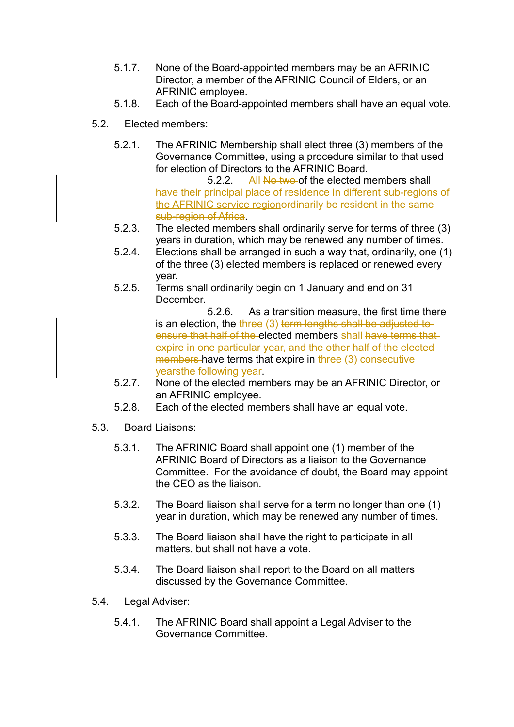- 5.1.7. None of the Board-appointed members may be an AFRINIC Director, a member of the AFRINIC Council of Elders, or an AFRINIC employee.
- 5.1.8. Each of the Board-appointed members shall have an equal vote.
- 5.2. Elected members:
	- 5.2.1. The AFRINIC Membership shall elect three (3) members of the Governance Committee, using a procedure similar to that used for election of Directors to the AFRINIC Board.

5.2.2. All No two of the elected members shall have their principal place of residence in different sub-regions of the AFRINIC service regionerdinarily be resident in the same sub-region of Africa.

- 5.2.3. The elected members shall ordinarily serve for terms of three (3) years in duration, which may be renewed any number of times.
- 5.2.4. Elections shall be arranged in such a way that, ordinarily, one (1) of the three (3) elected members is replaced or renewed every year.
- 5.2.5. Terms shall ordinarily begin on 1 January and end on 31 December.

5.2.6. As a transition measure, the first time there is an election, the three (3) term lengths shall be adjusted to ensure that half of the elected members shall have terms that expire in one particular year, and the other half of the elected members have terms that expire in three (3) consecutive yearsthe following year.

- 5.2.7. None of the elected members may be an AFRINIC Director, or an AFRINIC employee.
- 5.2.8. Each of the elected members shall have an equal vote.
- 5.3. Board Liaisons:
	- 5.3.1. The AFRINIC Board shall appoint one (1) member of the AFRINIC Board of Directors as a liaison to the Governance Committee. For the avoidance of doubt, the Board may appoint the CEO as the liaison.
	- 5.3.2. The Board liaison shall serve for a term no longer than one (1) year in duration, which may be renewed any number of times.
	- 5.3.3. The Board liaison shall have the right to participate in all matters, but shall not have a vote.
	- 5.3.4. The Board liaison shall report to the Board on all matters discussed by the Governance Committee.
- 5.4. Legal Adviser:
	- 5.4.1. The AFRINIC Board shall appoint a Legal Adviser to the Governance Committee.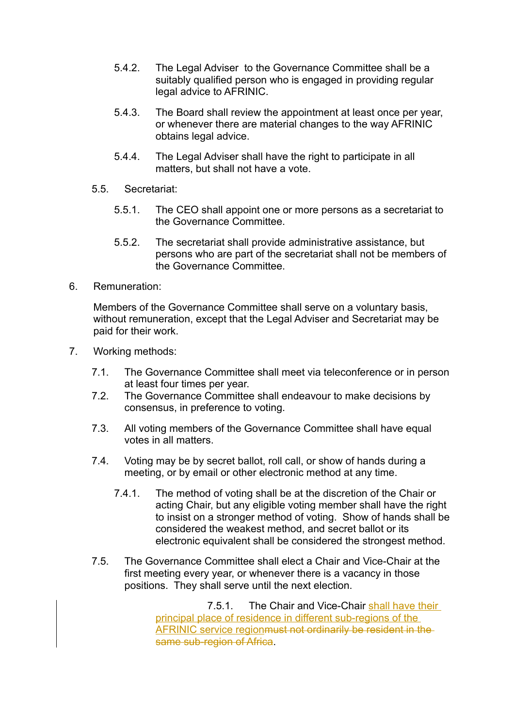- 5.4.2. The Legal Adviser to the Governance Committee shall be a suitably qualified person who is engaged in providing regular legal advice to AFRINIC.
- 5.4.3. The Board shall review the appointment at least once per year, or whenever there are material changes to the way AFRINIC obtains legal advice.
- 5.4.4. The Legal Adviser shall have the right to participate in all matters, but shall not have a vote.
- 5.5. Secretariat:
	- 5.5.1. The CEO shall appoint one or more persons as a secretariat to the Governance Committee.
	- 5.5.2. The secretariat shall provide administrative assistance, but persons who are part of the secretariat shall not be members of the Governance Committee.
- 6. Remuneration:

Members of the Governance Committee shall serve on a voluntary basis, without remuneration, except that the Legal Adviser and Secretariat may be paid for their work.

- 7. Working methods:
	- 7.1. The Governance Committee shall meet via teleconference or in person at least four times per year.
	- 7.2. The Governance Committee shall endeavour to make decisions by consensus, in preference to voting.
	- 7.3. All voting members of the Governance Committee shall have equal votes in all matters.
	- 7.4. Voting may be by secret ballot, roll call, or show of hands during a meeting, or by email or other electronic method at any time.
		- 7.4.1. The method of voting shall be at the discretion of the Chair or acting Chair, but any eligible voting member shall have the right to insist on a stronger method of voting. Show of hands shall be considered the weakest method, and secret ballot or its electronic equivalent shall be considered the strongest method.
	- 7.5. The Governance Committee shall elect a Chair and Vice-Chair at the first meeting every year, or whenever there is a vacancy in those positions. They shall serve until the next election.

7.5.1. The Chair and Vice-Chair shall have their principal place of residence in different sub-regions of the AFRINIC service regionmust not ordinarily be resident in the same sub-region of Africa.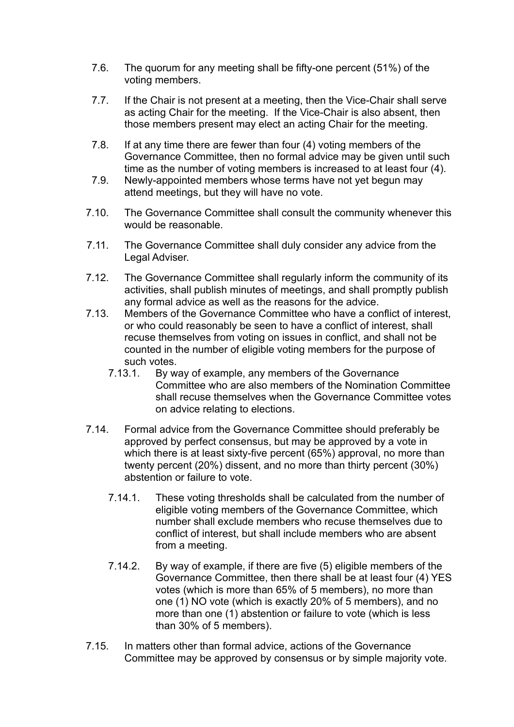- 7.6. The quorum for any meeting shall be fifty-one percent (51%) of the voting members.
- 7.7. If the Chair is not present at a meeting, then the Vice-Chair shall serve as acting Chair for the meeting. If the Vice-Chair is also absent, then those members present may elect an acting Chair for the meeting.
- 7.8. If at any time there are fewer than four (4) voting members of the Governance Committee, then no formal advice may be given until such time as the number of voting members is increased to at least four (4).
- 7.9. Newly-appointed members whose terms have not yet begun may attend meetings, but they will have no vote.
- 7.10. The Governance Committee shall consult the community whenever this would be reasonable.
- 7.11. The Governance Committee shall duly consider any advice from the Legal Adviser.
- 7.12. The Governance Committee shall regularly inform the community of its activities, shall publish minutes of meetings, and shall promptly publish any formal advice as well as the reasons for the advice.
- 7.13. Members of the Governance Committee who have a conflict of interest, or who could reasonably be seen to have a conflict of interest, shall recuse themselves from voting on issues in conflict, and shall not be counted in the number of eligible voting members for the purpose of such votes.
	- 7.13.1. By way of example, any members of the Governance Committee who are also members of the Nomination Committee shall recuse themselves when the Governance Committee votes on advice relating to elections.
- 7.14. Formal advice from the Governance Committee should preferably be approved by perfect consensus, but may be approved by a vote in which there is at least sixty-five percent (65%) approval, no more than twenty percent (20%) dissent, and no more than thirty percent (30%) abstention or failure to vote.
	- 7.14.1. These voting thresholds shall be calculated from the number of eligible voting members of the Governance Committee, which number shall exclude members who recuse themselves due to conflict of interest, but shall include members who are absent from a meeting.
	- 7.14.2. By way of example, if there are five (5) eligible members of the Governance Committee, then there shall be at least four (4) YES votes (which is more than 65% of 5 members), no more than one (1) NO vote (which is exactly 20% of 5 members), and no more than one (1) abstention or failure to vote (which is less than 30% of 5 members).
- 7.15. In matters other than formal advice, actions of the Governance Committee may be approved by consensus or by simple majority vote.